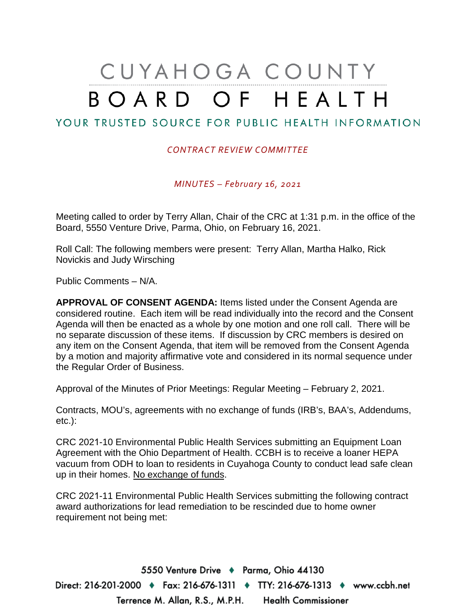## CUYAHOGA COUNTY BOARD OF HEALTH

## YOUR TRUSTED SOURCE FOR PUBLIC HEALTH INFORMATION

## *CONTRACT REVIEW COMMITTEE*

*MINUTES – February 16, 2021* 

Meeting called to order by Terry Allan, Chair of the CRC at 1:31 p.m. in the office of the Board, 5550 Venture Drive, Parma, Ohio, on February 16, 2021.

Roll Call: The following members were present: Terry Allan, Martha Halko, Rick Novickis and Judy Wirsching

Public Comments – N/A.

**APPROVAL OF CONSENT AGENDA:** Items listed under the Consent Agenda are considered routine. Each item will be read individually into the record and the Consent Agenda will then be enacted as a whole by one motion and one roll call. There will be no separate discussion of these items. If discussion by CRC members is desired on any item on the Consent Agenda, that item will be removed from the Consent Agenda by a motion and majority affirmative vote and considered in its normal sequence under the Regular Order of Business.

Approval of the Minutes of Prior Meetings: Regular Meeting – February 2, 2021.

Contracts, MOU's, agreements with no exchange of funds (IRB's, BAA's, Addendums, etc.):

CRC 2021-10 Environmental Public Health Services submitting an Equipment Loan Agreement with the Ohio Department of Health. CCBH is to receive a loaner HEPA vacuum from ODH to loan to residents in Cuyahoga County to conduct lead safe clean up in their homes. No exchange of funds.

CRC 2021-11 Environmental Public Health Services submitting the following contract award authorizations for lead remediation to be rescinded due to home owner requirement not being met:

5550 Venture Drive + Parma, Ohio 44130 Direct: 216-201-2000 ♦ Fax: 216-676-1311 ♦ TTY: 216-676-1313 ♦ www.ccbh.net Terrence M. Allan, R.S., M.P.H. Health Commissioner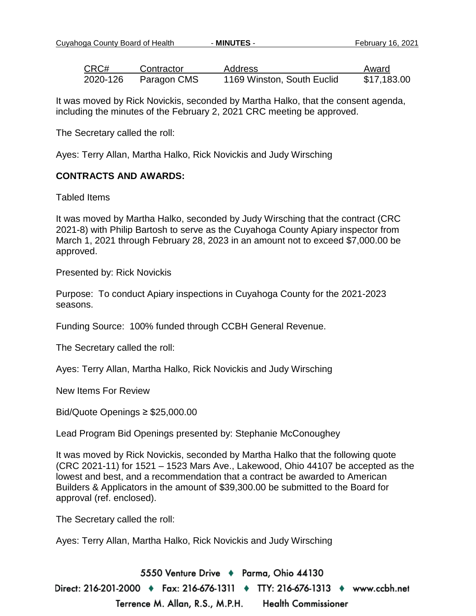Cuyahoga County Board of Health - **MINUTES** - February 16, 2021

| CRC#     | Contractor  | Address                    | Award       |
|----------|-------------|----------------------------|-------------|
| 2020-126 | Paragon CMS | 1169 Winston, South Euclid | \$17,183.00 |

It was moved by Rick Novickis, seconded by Martha Halko, that the consent agenda, including the minutes of the February 2, 2021 CRC meeting be approved.

The Secretary called the roll:

Ayes: Terry Allan, Martha Halko, Rick Novickis and Judy Wirsching

## **CONTRACTS AND AWARDS:**

Tabled Items

It was moved by Martha Halko, seconded by Judy Wirsching that the contract (CRC 2021-8) with Philip Bartosh to serve as the Cuyahoga County Apiary inspector from March 1, 2021 through February 28, 2023 in an amount not to exceed \$7,000.00 be approved.

Presented by: Rick Novickis

Purpose: To conduct Apiary inspections in Cuyahoga County for the 2021-2023 seasons.

Funding Source: 100% funded through CCBH General Revenue.

The Secretary called the roll:

Ayes: Terry Allan, Martha Halko, Rick Novickis and Judy Wirsching

New Items For Review

Bid/Quote Openings ≥ \$25,000.00

Lead Program Bid Openings presented by: Stephanie McConoughey

It was moved by Rick Novickis, seconded by Martha Halko that the following quote (CRC 2021-11) for 1521 – 1523 Mars Ave., Lakewood, Ohio 44107 be accepted as the lowest and best, and a recommendation that a contract be awarded to American Builders & Applicators in the amount of \$39,300.00 be submitted to the Board for approval (ref. enclosed).

The Secretary called the roll:

Ayes: Terry Allan, Martha Halko, Rick Novickis and Judy Wirsching

5550 Venture Drive + Parma, Ohio 44130 Direct: 216-201-2000 ♦ Fax: 216-676-1311 ♦ TTY: 216-676-1313 ♦ www.ccbh.net Terrence M. Allan, R.S., M.P.H. **Health Commissioner**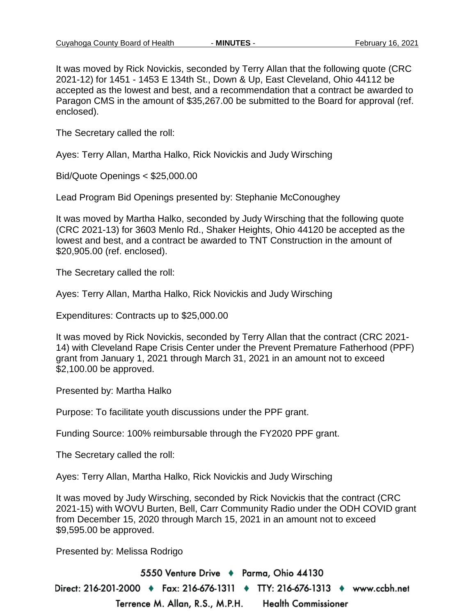It was moved by Rick Novickis, seconded by Terry Allan that the following quote (CRC 2021-12) for 1451 - 1453 E 134th St., Down & Up, East Cleveland, Ohio 44112 be accepted as the lowest and best, and a recommendation that a contract be awarded to Paragon CMS in the amount of \$35,267.00 be submitted to the Board for approval (ref. enclosed).

The Secretary called the roll:

Ayes: Terry Allan, Martha Halko, Rick Novickis and Judy Wirsching

Bid/Quote Openings < \$25,000.00

Lead Program Bid Openings presented by: Stephanie McConoughey

It was moved by Martha Halko, seconded by Judy Wirsching that the following quote (CRC 2021-13) for 3603 Menlo Rd., Shaker Heights, Ohio 44120 be accepted as the lowest and best, and a contract be awarded to TNT Construction in the amount of \$20,905.00 (ref. enclosed).

The Secretary called the roll:

Ayes: Terry Allan, Martha Halko, Rick Novickis and Judy Wirsching

Expenditures: Contracts up to \$25,000.00

It was moved by Rick Novickis, seconded by Terry Allan that the contract (CRC 2021- 14) with Cleveland Rape Crisis Center under the Prevent Premature Fatherhood (PPF) grant from January 1, 2021 through March 31, 2021 in an amount not to exceed \$2,100.00 be approved.

Presented by: Martha Halko

Purpose: To facilitate youth discussions under the PPF grant.

Funding Source: 100% reimbursable through the FY2020 PPF grant.

The Secretary called the roll:

Ayes: Terry Allan, Martha Halko, Rick Novickis and Judy Wirsching

It was moved by Judy Wirsching, seconded by Rick Novickis that the contract (CRC 2021-15) with WOVU Burten, Bell, Carr Community Radio under the ODH COVID grant from December 15, 2020 through March 15, 2021 in an amount not to exceed \$9,595.00 be approved.

Presented by: Melissa Rodrigo

5550 Venture Drive + Parma, Ohio 44130 Direct: 216-201-2000 ♦ Fax: 216-676-1311 ♦ TTY: 216-676-1313 ♦ www.ccbh.net Terrence M. Allan, R.S., M.P.H. **Health Commissioner**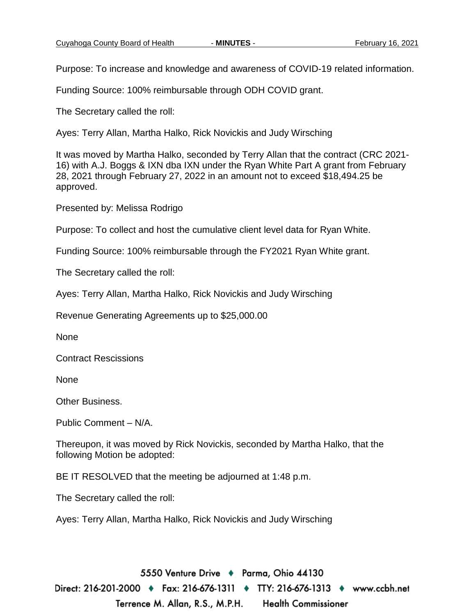Purpose: To increase and knowledge and awareness of COVID-19 related information.

Funding Source: 100% reimbursable through ODH COVID grant.

The Secretary called the roll:

Ayes: Terry Allan, Martha Halko, Rick Novickis and Judy Wirsching

It was moved by Martha Halko, seconded by Terry Allan that the contract (CRC 2021- 16) with A.J. Boggs & IXN dba IXN under the Ryan White Part A grant from February 28, 2021 through February 27, 2022 in an amount not to exceed \$18,494.25 be approved.

Presented by: Melissa Rodrigo

Purpose: To collect and host the cumulative client level data for Ryan White.

Funding Source: 100% reimbursable through the FY2021 Ryan White grant.

The Secretary called the roll:

Ayes: Terry Allan, Martha Halko, Rick Novickis and Judy Wirsching

Revenue Generating Agreements up to \$25,000.00

None

Contract Rescissions

None

Other Business.

Public Comment – N/A.

Thereupon, it was moved by Rick Novickis, seconded by Martha Halko, that the following Motion be adopted:

BE IT RESOLVED that the meeting be adjourned at 1:48 p.m.

The Secretary called the roll:

Ayes: Terry Allan, Martha Halko, Rick Novickis and Judy Wirsching

5550 Venture Drive + Parma, Ohio 44130 Direct: 216-201-2000 ♦ Fax: 216-676-1311 ♦ TTY: 216-676-1313 ♦ www.ccbh.net Terrence M. Allan, R.S., M.P.H. **Health Commissioner**